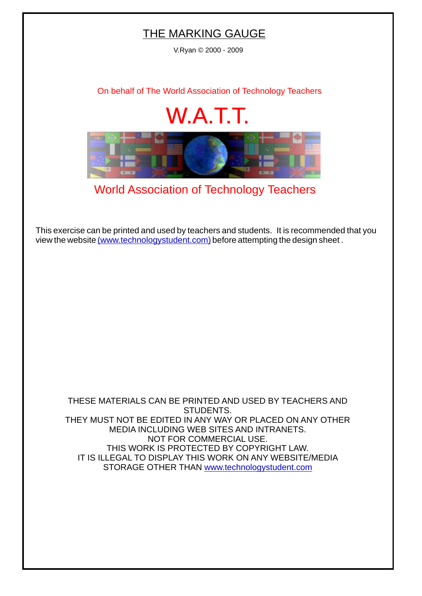## THE MARKING GAUGE

V.Ryan © 2000 - 2009

[On behalf of The World Association of Technology Teachers](http://www.technologystudent.com)

## W.A.T.T.



[World Association of Technology Teachers](http://www.technologystudent.com)

[This exercise can be printed and used by teachers and students. It is recommended that you](http://www.technologystudent.com/designpro/drawdex.htm) view the website [\(www.technologystudent.com\)](http://www.technologystudent.com) before attempting the design sheet .

THESE MATERIALS CAN BE PRINTED AND USED BY TEACHERS AND STUDENTS. THEY MUST NOT BE EDITED IN ANY WAY OR PLACED ON ANY OTHER MEDIA INCLUDING WEB SITES AND INTRANETS. NOT FOR COMMERCIAL USE. THIS WORK IS PROTECTED BY COPYRIGHT LAW. IT IS ILLEGAL TO DISPLAY THIS WORK ON ANY WEBSITE/MEDIA STORAGE OTHER THAN [www.technologystudent.com](http://www.technologystudent.com)